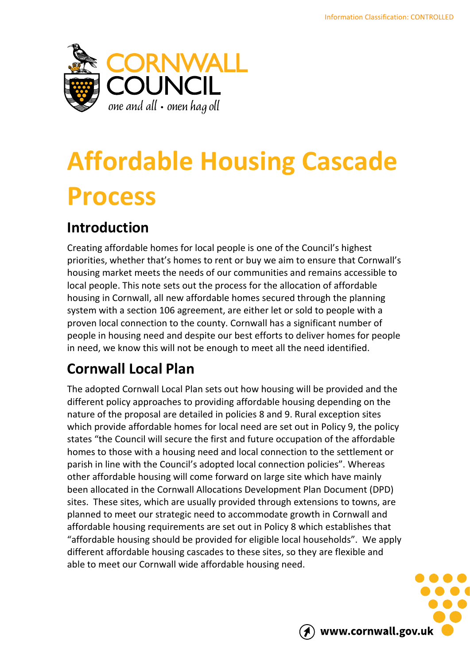

# **Affordable Housing Cascade Process**

## **Introduction**

Creating affordable homes for local people is one of the Council's highest priorities, whether that's homes to rent or buy we aim to ensure that Cornwall's housing market meets the needs of our communities and remains accessible to local people. This note sets out the process for the allocation of affordable housing in Cornwall, all new affordable homes secured through the planning system with a section 106 agreement, are either let or sold to people with a proven local connection to the county. Cornwall has a significant number of people in housing need and despite our best efforts to deliver homes for people in need, we know this will not be enough to meet all the need identified.

## **Cornwall Local Plan**

The adopted Cornwall Local Plan sets out how housing will be provided and the different policy approaches to providing affordable housing depending on the nature of the proposal are detailed in policies 8 and 9. Rural exception sites which provide affordable homes for local need are set out in Policy 9, the policy states "the Council will secure the first and future occupation of the affordable homes to those with a housing need and local connection to the settlement or parish in line with the Council's adopted local connection policies". Whereas other affordable housing will come forward on large site which have mainly been allocated in the Cornwall Allocations Development Plan Document (DPD) sites. These sites, which are usually provided through extensions to towns, are planned to meet our strategic need to accommodate growth in Cornwall and affordable housing requirements are set out in Policy 8 which establishes that "affordable housing should be provided for eligible local households". We apply different affordable housing cascades to these sites, so they are flexible and able to meet our Cornwall wide affordable housing need.

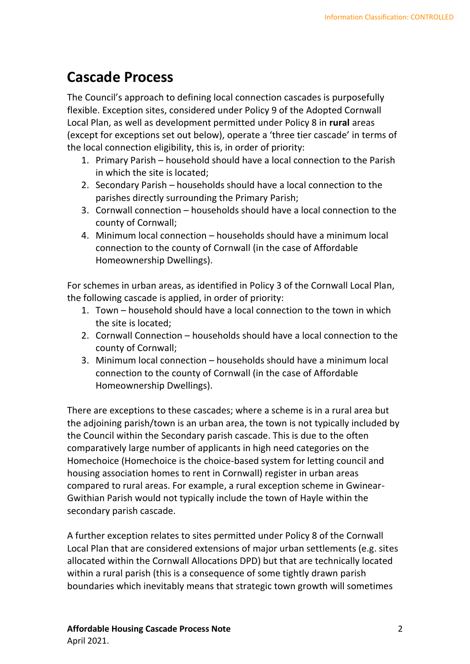#### **Cascade Process**

The Council's approach to defining local connection cascades is purposefully flexible. Exception sites, considered under Policy 9 of the Adopted Cornwall Local Plan, as well as development permitted under Policy 8 in **rural** areas (except for exceptions set out below), operate a 'three tier cascade' in terms of the local connection eligibility, this is, in order of priority:

- 1. Primary Parish household should have a local connection to the Parish in which the site is located;
- 2. Secondary Parish households should have a local connection to the parishes directly surrounding the Primary Parish;
- 3. Cornwall connection households should have a local connection to the county of Cornwall;
- 4. Minimum local connection households should have a minimum local connection to the county of Cornwall (in the case of Affordable Homeownership Dwellings).

For schemes in urban areas, as identified in Policy 3 of the Cornwall Local Plan, the following cascade is applied, in order of priority:

- 1. Town household should have a local connection to the town in which the site is located;
- 2. Cornwall Connection households should have a local connection to the county of Cornwall;
- 3. Minimum local connection households should have a minimum local connection to the county of Cornwall (in the case of Affordable Homeownership Dwellings).

There are exceptions to these cascades; where a scheme is in a rural area but the adjoining parish/town is an urban area, the town is not typically included by the Council within the Secondary parish cascade. This is due to the often comparatively large number of applicants in high need categories on the Homechoice (Homechoice is the choice-based system for letting council and housing association homes to rent in Cornwall) register in urban areas compared to rural areas. For example, a rural exception scheme in Gwinear-Gwithian Parish would not typically include the town of Hayle within the secondary parish cascade.

A further exception relates to sites permitted under Policy 8 of the Cornwall Local Plan that are considered extensions of major urban settlements (e.g. sites allocated within the Cornwall Allocations DPD) but that are technically located within a rural parish (this is a consequence of some tightly drawn parish boundaries which inevitably means that strategic town growth will sometimes